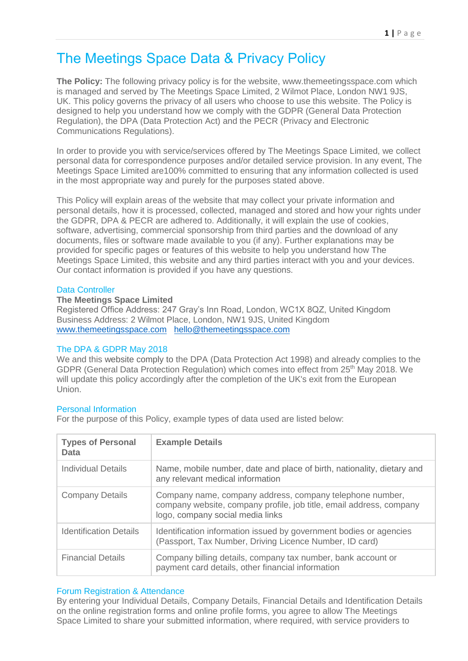# The Meetings Space Data & Privacy Policy

**The Policy:** The following privacy policy is for the website, www.themeetingsspace.com which is managed and served by The Meetings Space Limited, 2 Wilmot Place, London NW1 9JS, UK. This policy governs the privacy of all users who choose to use this website. The Policy is designed to help you understand how we comply with the GDPR (General Data Protection Regulation), the DPA (Data Protection Act) and the PECR (Privacy and Electronic Communications Regulations).

In order to provide you with service/services offered by The Meetings Space Limited, we collect personal data for correspondence purposes and/or detailed service provision. In any event, The Meetings Space Limited are100% committed to ensuring that any information collected is used in the most appropriate way and purely for the purposes stated above.

This Policy will explain areas of the website that may collect your private information and personal details, how it is processed, collected, managed and stored and how your rights under the GDPR, DPA & PECR are adhered to. Additionally, it will explain the use of cookies, software, advertising, commercial sponsorship from third parties and the download of any documents, files or software made available to you (if any). Further explanations may be provided for specific pages or features of this website to help you understand how The Meetings Space Limited, this website and any third parties interact with you and your devices. Our contact information is provided if you have any questions.

# Data Controller

## **The Meetings Space Limited**

Registered Office Address: 247 Gray's Inn Road, London, WC1X 8QZ, United Kingdom Business Address: 2 Wilmot Place, London, NW1 9JS, United Kingdom [www.themeetingsspace.com](http://www.themeetingsspace.com/) [hello@themeetingsspace.com](mailto:hello@themeetingsspace.com)

## The DPA & GDPR May 2018

We and this website comply to the DPA (Data Protection Act 1998) and already complies to the GDPR (General Data Protection Regulation) which comes into effect from 25th May 2018. We will update this policy accordingly after the completion of the UK's exit from the European Union.

# Personal Information

For the purpose of this Policy, example types of data used are listed below:

| <b>Types of Personal</b><br>Data | <b>Example Details</b>                                                                                                                                              |
|----------------------------------|---------------------------------------------------------------------------------------------------------------------------------------------------------------------|
| Individual Details               | Name, mobile number, date and place of birth, nationality, dietary and<br>any relevant medical information                                                          |
| <b>Company Details</b>           | Company name, company address, company telephone number,<br>company website, company profile, job title, email address, company<br>logo, company social media links |
| <b>Identification Details</b>    | Identification information issued by government bodies or agencies<br>(Passport, Tax Number, Driving Licence Number, ID card)                                       |
| <b>Financial Details</b>         | Company billing details, company tax number, bank account or<br>payment card details, other financial information                                                   |

## Forum Registration & Attendance

By entering your Individual Details, Company Details, Financial Details and Identification Details on the online registration forms and online profile forms, you agree to allow The Meetings Space Limited to share your submitted information, where required, with service providers to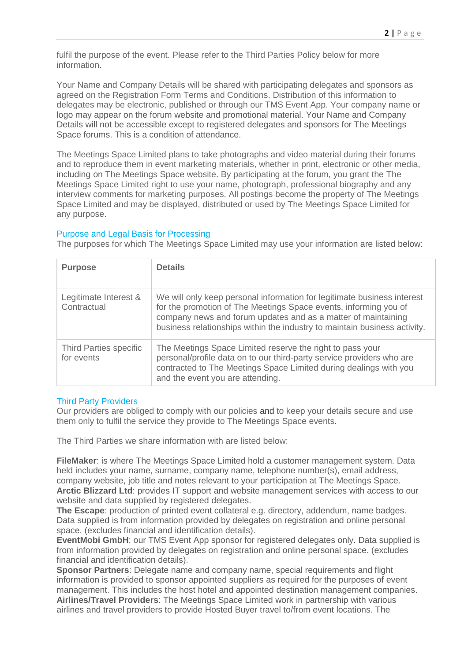fulfil the purpose of the event. Please refer to the Third Parties Policy below for more information.

Your Name and Company Details will be shared with participating delegates and sponsors as agreed on the Registration Form Terms and Conditions. Distribution of this information to delegates may be electronic, published or through our TMS Event App. Your company name or logo may appear on the forum website and promotional material. Your Name and Company Details will not be accessible except to registered delegates and sponsors for The Meetings Space forums. This is a condition of attendance.

The Meetings Space Limited plans to take photographs and video material during their forums and to reproduce them in event marketing materials, whether in print, electronic or other media, including on The Meetings Space website. By participating at the forum, you grant the The Meetings Space Limited right to use your name, photograph, professional biography and any interview comments for marketing purposes. All postings become the property of The Meetings Space Limited and may be displayed, distributed or used by The Meetings Space Limited for any purpose.

## Purpose and Legal Basis for Processing

The purposes for which The Meetings Space Limited may use your information are listed below:

| <b>Purpose</b>                              | <b>Details</b>                                                                                                                                                                                                                                                                            |
|---------------------------------------------|-------------------------------------------------------------------------------------------------------------------------------------------------------------------------------------------------------------------------------------------------------------------------------------------|
| Legitimate Interest &<br>Contractual        | We will only keep personal information for legitimate business interest<br>for the promotion of The Meetings Space events, informing you of<br>company news and forum updates and as a matter of maintaining<br>business relationships within the industry to maintain business activity. |
| <b>Third Parties specific</b><br>for events | The Meetings Space Limited reserve the right to pass your<br>personal/profile data on to our third-party service providers who are<br>contracted to The Meetings Space Limited during dealings with you<br>and the event you are attending.                                               |

## Third Party Providers

Our providers are obliged to comply with our policies and to keep your details secure and use them only to fulfil the service they provide to The Meetings Space events.

The Third Parties we share information with are listed below:

**FileMaker**: is where The Meetings Space Limited hold a customer management system. Data held includes your name, surname, company name, telephone number(s), email address, company website, job title and notes relevant to your participation at The Meetings Space. **Arctic Blizzard Ltd**: provides IT support and website management services with access to our website and data supplied by registered delegates.

**The Escape**: production of printed event collateral e.g. directory, addendum, name badges. Data supplied is from information provided by delegates on registration and online personal space. (excludes financial and identification details).

**EventMobi GmbH**: our TMS Event App sponsor for registered delegates only. Data supplied is from information provided by delegates on registration and online personal space. (excludes financial and identification details).

**Sponsor Partners**: Delegate name and company name, special requirements and flight information is provided to sponsor appointed suppliers as required for the purposes of event management. This includes the host hotel and appointed destination management companies. **Airlines/Travel Providers**: The Meetings Space Limited work in partnership with various airlines and travel providers to provide Hosted Buyer travel to/from event locations. The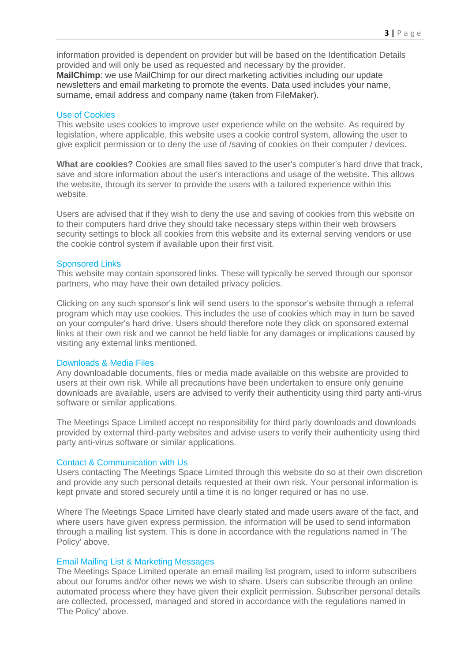information provided is dependent on provider but will be based on the Identification Details provided and will only be used as requested and necessary by the provider. **MailChimp**: we use MailChimp for our direct marketing activities including our update newsletters and email marketing to promote the events. Data used includes your name, surname, email address and company name (taken from FileMaker).

### Use of Cookies

This website uses cookies to improve user experience while on the website. As required by legislation, where applicable, this website uses a cookie control system, allowing the user to give explicit permission or to deny the use of /saving of cookies on their computer / devices.

**What are cookies?** Cookies are small files saved to the user's computer's hard drive that track, save and store information about the user's interactions and usage of the website. This allows the website, through its server to provide the users with a tailored experience within this website.

Users are advised that if they wish to deny the use and saving of cookies from this website on to their computers hard drive they should take necessary steps within their web browsers security settings to block all cookies from this website and its external serving vendors or use the cookie control system if available upon their first visit.

## Sponsored Links

This website may contain sponsored links. These will typically be served through our sponsor partners, who may have their own detailed privacy policies.

Clicking on any such sponsor's link will send users to the sponsor's website through a referral program which may use cookies. This includes the use of cookies which may in turn be saved on your computer's hard drive. Users should therefore note they click on sponsored external links at their own risk and we cannot be held liable for any damages or implications caused by visiting any external links mentioned.

#### Downloads & Media Files

Any downloadable documents, files or media made available on this website are provided to users at their own risk. While all precautions have been undertaken to ensure only genuine downloads are available, users are advised to verify their authenticity using third party anti-virus software or similar applications.

The Meetings Space Limited accept no responsibility for third party downloads and downloads provided by external third-party websites and advise users to verify their authenticity using third party anti-virus software or similar applications.

## Contact & Communication with Us

Users contacting The Meetings Space Limited through this website do so at their own discretion and provide any such personal details requested at their own risk. Your personal information is kept private and stored securely until a time it is no longer required or has no use.

Where The Meetings Space Limited have clearly stated and made users aware of the fact, and where users have given express permission, the information will be used to send information through a mailing list system. This is done in accordance with the regulations named in 'The Policy' above.

## Email Mailing List & Marketing Messages

The Meetings Space Limited operate an email mailing list program, used to inform subscribers about our forums and/or other news we wish to share. Users can subscribe through an online automated process where they have given their explicit permission. Subscriber personal details are collected, processed, managed and stored in accordance with the regulations named in 'The Policy' above.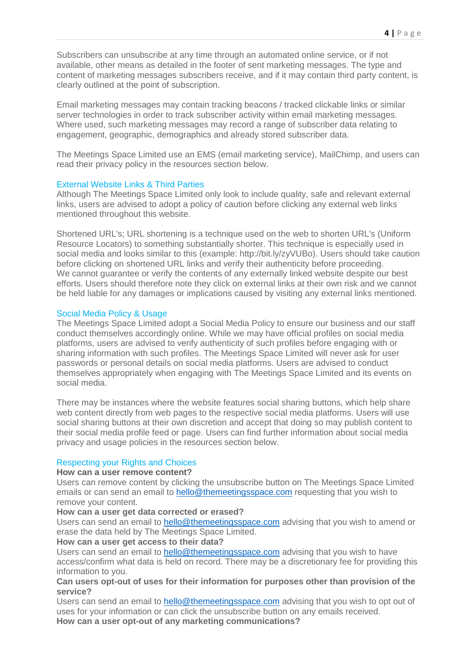Subscribers can unsubscribe at any time through an automated online service, or if not available, other means as detailed in the footer of sent marketing messages. The type and content of marketing messages subscribers receive, and if it may contain third party content, is clearly outlined at the point of subscription.

Email marketing messages may contain tracking beacons / tracked clickable links or similar server technologies in order to track subscriber activity within email marketing messages. Where used, such marketing messages may record a range of subscriber data relating to engagement, geographic, demographics and already stored subscriber data.

The Meetings Space Limited use an EMS (email marketing service), MailChimp, and users can read their privacy policy in the resources section below.

## External Website Links & Third Parties

Although The Meetings Space Limited only look to include quality, safe and relevant external links, users are advised to adopt a policy of caution before clicking any external web links mentioned throughout this website.

Shortened URL's; URL shortening is a technique used on the web to shorten URL's (Uniform Resource Locators) to something substantially shorter. This technique is especially used in social media and looks similar to this (example: http://bit.ly/zyVUBo). Users should take caution before clicking on shortened URL links and verify their authenticity before proceeding. We cannot guarantee or verify the contents of any externally linked website despite our best efforts. Users should therefore note they click on external links at their own risk and we cannot be held liable for any damages or implications caused by visiting any external links mentioned.

## Social Media Policy & Usage

The Meetings Space Limited adopt a Social Media Policy to ensure our business and our staff conduct themselves accordingly online. While we may have official profiles on social media platforms, users are advised to verify authenticity of such profiles before engaging with or sharing information with such profiles. The Meetings Space Limited will never ask for user passwords or personal details on social media platforms. Users are advised to conduct themselves appropriately when engaging with The Meetings Space Limited and its events on social media.

There may be instances where the website features social sharing buttons, which help share web content directly from web pages to the respective social media platforms. Users will use social sharing buttons at their own discretion and accept that doing so may publish content to their social media profile feed or page. Users can find further information about social media privacy and usage policies in the resources section below.

#### Respecting your Rights and Choices

#### **How can a user remove content?**

Users can remove content by clicking the unsubscribe button on The Meetings Space Limited emails or can send an email to [hello@themeetingsspace.com](mailto:hello@themeetingsspace.com) requesting that you wish to remove your content.

#### **How can a user get data corrected or erased?**

Users can send an email to [hello@themeetingsspace.com](mailto:hello@themeetingsspace.com) advising that you wish to amend or erase the data held by The Meetings Space Limited.

#### **How can a user get access to their data?**

Users can send an email to [hello@themeetingsspace.com](mailto:hello@themeetingsspace.com) advising that you wish to have access/confirm what data is held on record. There may be a discretionary fee for providing this information to you.

#### **Can users opt-out of uses for their information for purposes other than provision of the service?**

Users can send an email to [hello@themeetingsspace.com](mailto:hello@themeetingsspace.com) advising that you wish to opt out of uses for your information or can click the unsubscribe button on any emails received. **How can a user opt-out of any marketing communications?**